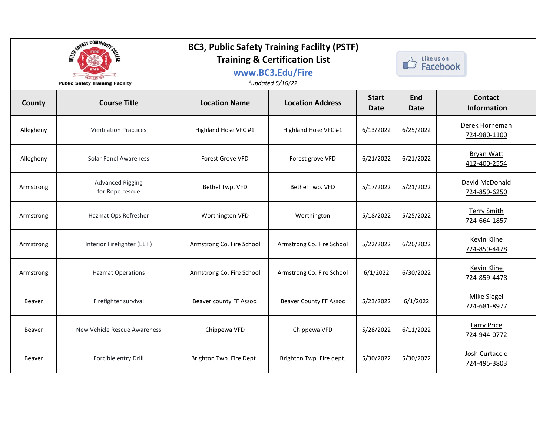|               | SCOUNTY COMMUNITY<br><b>Public Safety Training Facility</b> | <b>BC3, Public Safety Training Faclilty (PSTF)</b><br><b>Training &amp; Certification List</b><br>www.BC3.Edu/Fire<br>*updated 5/16/22 |                               |                      | Like us on<br><b>Facebook</b> |                                      |
|---------------|-------------------------------------------------------------|----------------------------------------------------------------------------------------------------------------------------------------|-------------------------------|----------------------|-------------------------------|--------------------------------------|
| County        | <b>Course Title</b>                                         | <b>Location Name</b>                                                                                                                   | <b>Location Address</b>       | <b>Start</b><br>Date | <b>End</b><br><b>Date</b>     | <b>Contact</b><br><b>Information</b> |
| Allegheny     | <b>Ventilation Practices</b>                                | Highland Hose VFC #1                                                                                                                   | Highland Hose VFC #1          | 6/13/2022            | 6/25/2022                     | Derek Horneman<br>724-980-1100       |
| Allegheny     | <b>Solar Panel Awareness</b>                                | <b>Forest Grove VFD</b>                                                                                                                | Forest grove VFD              | 6/21/2022            | 6/21/2022                     | <b>Bryan Watt</b><br>412-400-2554    |
| Armstrong     | <b>Advanced Rigging</b><br>for Rope rescue                  | Bethel Twp. VFD                                                                                                                        | Bethel Twp. VFD               | 5/17/2022            | 5/21/2022                     | David McDonald<br>724-859-6250       |
| Armstrong     | Hazmat Ops Refresher                                        | Worthington VFD                                                                                                                        | Worthington                   | 5/18/2022            | 5/25/2022                     | <b>Terry Smith</b><br>724-664-1857   |
| Armstrong     | Interior Firefighter (ELIF)                                 | Armstrong Co. Fire School                                                                                                              | Armstrong Co. Fire School     | 5/22/2022            | 6/26/2022                     | <b>Kevin Kline</b><br>724-859-4478   |
| Armstrong     | <b>Hazmat Operations</b>                                    | Armstrong Co. Fire School                                                                                                              | Armstrong Co. Fire School     | 6/1/2022             | 6/30/2022                     | <b>Kevin Kline</b><br>724-859-4478   |
| Beaver        | Firefighter survival                                        | Beaver county FF Assoc.                                                                                                                | <b>Beaver County FF Assoc</b> | 5/23/2022            | 6/1/2022                      | <b>Mike Siegel</b><br>724-681-8977   |
| Beaver        | New Vehicle Rescue Awareness                                | Chippewa VFD                                                                                                                           | Chippewa VFD                  | 5/28/2022            | 6/11/2022                     | <b>Larry Price</b><br>724-944-0772   |
| <b>Beaver</b> | Forcible entry Drill                                        | Brighton Twp. Fire Dept.                                                                                                               | Brighton Twp. Fire dept.      | 5/30/2022            | 5/30/2022                     | Josh Curtaccio<br>724-495-3803       |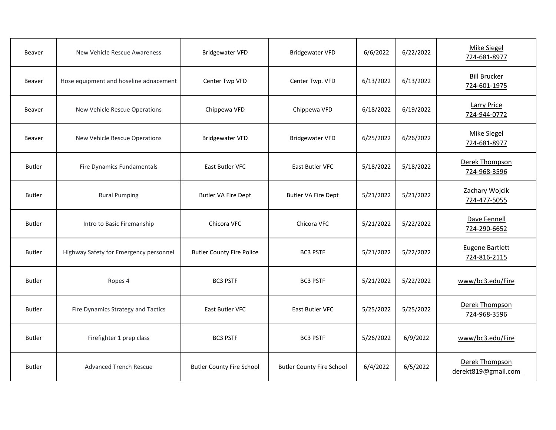| Beaver        | New Vehicle Rescue Awareness           | <b>Bridgewater VFD</b>           | <b>Bridgewater VFD</b>           | 6/6/2022  | 6/22/2022 | <b>Mike Siegel</b><br>724-681-8977    |
|---------------|----------------------------------------|----------------------------------|----------------------------------|-----------|-----------|---------------------------------------|
| Beaver        | Hose equipment and hoseline adnacement | Center Twp VFD                   | Center Twp. VFD                  | 6/13/2022 | 6/13/2022 | <b>Bill Brucker</b><br>724-601-1975   |
| <b>Beaver</b> | New Vehicle Rescue Operations          | Chippewa VFD                     | Chippewa VFD                     | 6/18/2022 | 6/19/2022 | <b>Larry Price</b><br>724-944-0772    |
| <b>Beaver</b> | New Vehicle Rescue Operations          | <b>Bridgewater VFD</b>           | <b>Bridgewater VFD</b>           | 6/25/2022 | 6/26/2022 | <b>Mike Siegel</b><br>724-681-8977    |
| <b>Butler</b> | Fire Dynamics Fundamentals             | East Butler VFC                  | East Butler VFC                  | 5/18/2022 | 5/18/2022 | Derek Thompson<br>724-968-3596        |
| <b>Butler</b> | <b>Rural Pumping</b>                   | <b>Butler VA Fire Dept</b>       | <b>Butler VA Fire Dept</b>       | 5/21/2022 | 5/21/2022 | Zachary Wojcik<br>724-477-5055        |
| <b>Butler</b> | Intro to Basic Firemanship             | Chicora VFC                      | Chicora VFC                      | 5/21/2022 | 5/22/2022 | Dave Fennell<br>724-290-6652          |
| <b>Butler</b> | Highway Safety for Emergency personnel | <b>Butler County Fire Police</b> | <b>BC3 PSTF</b>                  | 5/21/2022 | 5/22/2022 | Eugene Bartlett<br>724-816-2115       |
| <b>Butler</b> | Ropes 4                                | <b>BC3 PSTF</b>                  | <b>BC3 PSTF</b>                  | 5/21/2022 | 5/22/2022 | www/bc3.edu/Fire                      |
| <b>Butler</b> | Fire Dynamics Strategy and Tactics     | East Butler VFC                  | East Butler VFC                  | 5/25/2022 | 5/25/2022 | Derek Thompson<br>724-968-3596        |
| <b>Butler</b> | Firefighter 1 prep class               | <b>BC3 PSTF</b>                  | <b>BC3 PSTF</b>                  | 5/26/2022 | 6/9/2022  | www/bc3.edu/Fire                      |
| <b>Butler</b> | <b>Advanced Trench Rescue</b>          | <b>Butler County Fire School</b> | <b>Butler County Fire School</b> | 6/4/2022  | 6/5/2022  | Derek Thompson<br>derekt819@gmail.com |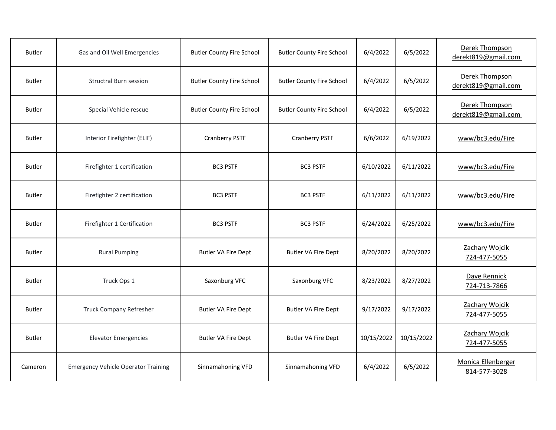| <b>Butler</b> | Gas and Oil Well Emergencies               | <b>Butler County Fire School</b> | <b>Butler County Fire School</b> | 6/4/2022   | 6/5/2022   | Derek Thompson<br>derekt819@gmail.com |
|---------------|--------------------------------------------|----------------------------------|----------------------------------|------------|------------|---------------------------------------|
| <b>Butler</b> | <b>Structral Burn session</b>              | <b>Butler County Fire School</b> | <b>Butler County Fire School</b> | 6/4/2022   | 6/5/2022   | Derek Thompson<br>derekt819@gmail.com |
| <b>Butler</b> | Special Vehicle rescue                     | <b>Butler County Fire School</b> | <b>Butler County Fire School</b> | 6/4/2022   | 6/5/2022   | Derek Thompson<br>derekt819@gmail.com |
| <b>Butler</b> | Interior Firefighter (ELIF)                | <b>Cranberry PSTF</b>            | <b>Cranberry PSTF</b>            | 6/6/2022   | 6/19/2022  | www/bc3.edu/Fire                      |
| <b>Butler</b> | Firefighter 1 certification                | <b>BC3 PSTF</b>                  | <b>BC3 PSTF</b>                  | 6/10/2022  | 6/11/2022  | www/bc3.edu/Fire                      |
| <b>Butler</b> | Firefighter 2 certification                | <b>BC3 PSTF</b>                  | <b>BC3 PSTF</b>                  | 6/11/2022  | 6/11/2022  | www/bc3.edu/Fire                      |
| <b>Butler</b> | Firefighter 1 Certification                | <b>BC3 PSTF</b>                  | <b>BC3 PSTF</b>                  | 6/24/2022  | 6/25/2022  | www/bc3.edu/Fire                      |
| <b>Butler</b> | <b>Rural Pumping</b>                       | <b>Butler VA Fire Dept</b>       | <b>Butler VA Fire Dept</b>       | 8/20/2022  | 8/20/2022  | Zachary Wojcik<br>724-477-5055        |
| <b>Butler</b> | Truck Ops 1                                | Saxonburg VFC                    | Saxonburg VFC                    | 8/23/2022  | 8/27/2022  | Dave Rennick<br>724-713-7866          |
| <b>Butler</b> | <b>Truck Company Refresher</b>             | <b>Butler VA Fire Dept</b>       | <b>Butler VA Fire Dept</b>       | 9/17/2022  | 9/17/2022  | Zachary Wojcik<br>724-477-5055        |
| <b>Butler</b> | <b>Elevator Emergencies</b>                | <b>Butler VA Fire Dept</b>       | <b>Butler VA Fire Dept</b>       | 10/15/2022 | 10/15/2022 | Zachary Wojcik<br>724-477-5055        |
| Cameron       | <b>Emergency Vehicle Operator Training</b> | Sinnamahoning VFD                | Sinnamahoning VFD                | 6/4/2022   | 6/5/2022   | Monica Ellenberger<br>814-577-3028    |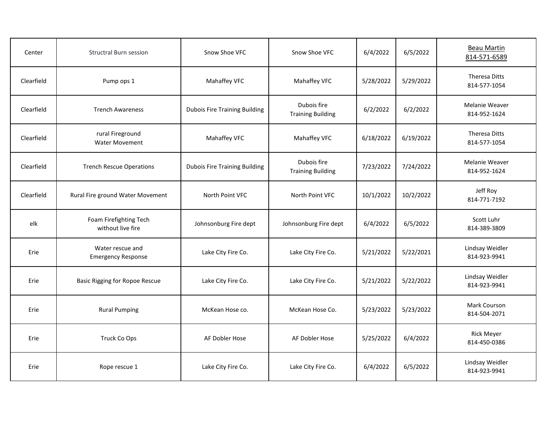| Center     | <b>Structral Burn session</b>                 | Snow Shoe VFC                        | Snow Shoe VFC                           | 6/4/2022  | 6/5/2022  | <b>Beau Martin</b><br>814-571-6589   |
|------------|-----------------------------------------------|--------------------------------------|-----------------------------------------|-----------|-----------|--------------------------------------|
| Clearfield | Pump ops 1                                    | Mahaffey VFC                         | Mahaffey VFC                            | 5/28/2022 | 5/29/2022 | <b>Theresa Ditts</b><br>814-577-1054 |
| Clearfield | <b>Trench Awareness</b>                       | <b>Dubois Fire Training Building</b> | Dubois fire<br><b>Training Building</b> | 6/2/2022  | 6/2/2022  | Melanie Weaver<br>814-952-1624       |
| Clearfield | rural Fireground<br><b>Water Movement</b>     | Mahaffey VFC                         | Mahaffey VFC                            | 6/18/2022 | 6/19/2022 | <b>Theresa Ditts</b><br>814-577-1054 |
| Clearfield | <b>Trench Rescue Operations</b>               | <b>Dubois Fire Training Building</b> | Dubois fire<br><b>Training Building</b> | 7/23/2022 | 7/24/2022 | Melanie Weaver<br>814-952-1624       |
| Clearfield | Rural Fire ground Water Movement              | North Point VFC                      | North Point VFC                         | 10/1/2022 | 10/2/2022 | Jeff Roy<br>814-771-7192             |
| elk        | Foam Firefighting Tech<br>without live fire   | Johnsonburg Fire dept                | Johnsonburg Fire dept                   | 6/4/2022  | 6/5/2022  | Scott Luhr<br>814-389-3809           |
| Erie       | Water rescue and<br><b>Emergency Response</b> | Lake City Fire Co.                   | Lake City Fire Co.                      | 5/21/2022 | 5/22/2021 | Lindsay Weidler<br>814-923-9941      |
| Erie       | <b>Basic Rigging for Ropoe Rescue</b>         | Lake City Fire Co.                   | Lake City Fire Co.                      | 5/21/2022 | 5/22/2022 | Lindsay Weidler<br>814-923-9941      |
| Erie       | <b>Rural Pumping</b>                          | McKean Hose co.                      | McKean Hose Co.                         | 5/23/2022 | 5/23/2022 | Mark Courson<br>814-504-2071         |
| Erie       | Truck Co Ops                                  | AF Dobler Hose                       | AF Dobler Hose                          | 5/25/2022 | 6/4/2022  | <b>Rick Meyer</b><br>814-450-0386    |
| Erie       | Rope rescue 1                                 | Lake City Fire Co.                   | Lake City Fire Co.                      | 6/4/2022  | 6/5/2022  | Lindsay Weidler<br>814-923-9941      |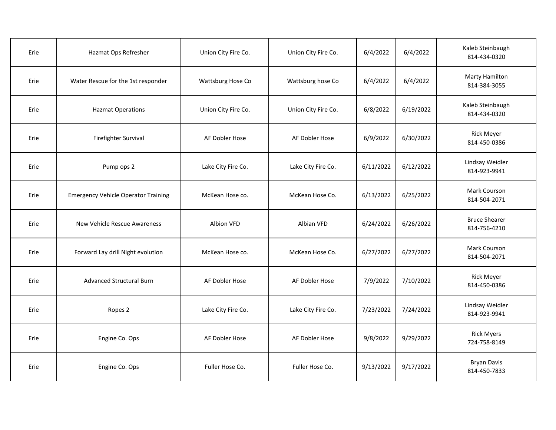| Erie | Hazmat Ops Refresher                       | Union City Fire Co. | Union City Fire Co. | 6/4/2022  | 6/4/2022  | Kaleb Steinbaugh<br>814-434-0320      |
|------|--------------------------------------------|---------------------|---------------------|-----------|-----------|---------------------------------------|
| Erie | Water Rescue for the 1st responder         | Wattsburg Hose Co   | Wattsburg hose Co   | 6/4/2022  | 6/4/2022  | <b>Marty Hamilton</b><br>814-384-3055 |
| Erie | <b>Hazmat Operations</b>                   | Union City Fire Co. | Union City Fire Co. | 6/8/2022  | 6/19/2022 | Kaleb Steinbaugh<br>814-434-0320      |
| Erie | Firefighter Survival                       | AF Dobler Hose      | AF Dobler Hose      | 6/9/2022  | 6/30/2022 | <b>Rick Meyer</b><br>814-450-0386     |
| Erie | Pump ops 2                                 | Lake City Fire Co.  | Lake City Fire Co.  | 6/11/2022 | 6/12/2022 | Lindsay Weidler<br>814-923-9941       |
| Erie | <b>Emergency Vehicle Operator Training</b> | McKean Hose co.     | McKean Hose Co.     | 6/13/2022 | 6/25/2022 | Mark Courson<br>814-504-2071          |
| Erie | New Vehicle Rescue Awareness               | Albion VFD          | Albian VFD          | 6/24/2022 | 6/26/2022 | <b>Bruce Shearer</b><br>814-756-4210  |
| Erie | Forward Lay drill Night evolution          | McKean Hose co.     | McKean Hose Co.     | 6/27/2022 | 6/27/2022 | Mark Courson<br>814-504-2071          |
| Erie | <b>Advanced Structural Burn</b>            | AF Dobler Hose      | AF Dobler Hose      | 7/9/2022  | 7/10/2022 | <b>Rick Meyer</b><br>814-450-0386     |
| Erie | Ropes 2                                    | Lake City Fire Co.  | Lake City Fire Co.  | 7/23/2022 | 7/24/2022 | Lindsay Weidler<br>814-923-9941       |
| Erie | Engine Co. Ops                             | AF Dobler Hose      | AF Dobler Hose      | 9/8/2022  | 9/29/2022 | <b>Rick Myers</b><br>724-758-8149     |
| Erie | Engine Co. Ops                             | Fuller Hose Co.     | Fuller Hose Co.     | 9/13/2022 | 9/17/2022 | <b>Bryan Davis</b><br>814-450-7833    |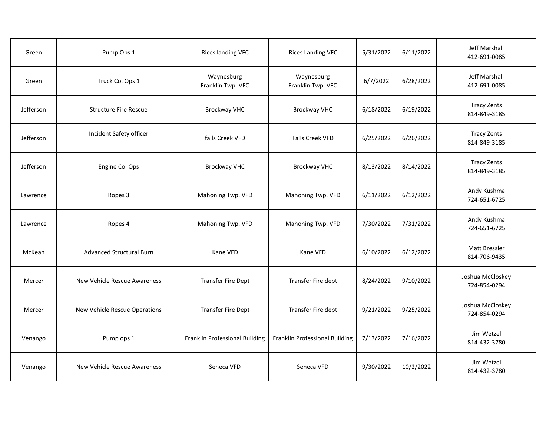| Green     | Pump Ops 1                      | Rices landing VFC               | <b>Rices Landing VFC</b>        | 5/31/2022 | 6/11/2022 | Jeff Marshall<br>412-691-0085        |
|-----------|---------------------------------|---------------------------------|---------------------------------|-----------|-----------|--------------------------------------|
| Green     | Truck Co. Ops 1                 | Waynesburg<br>Franklin Twp. VFC | Waynesburg<br>Franklin Twp. VFC | 6/7/2022  | 6/28/2022 | <b>Jeff Marshall</b><br>412-691-0085 |
| Jefferson | <b>Structure Fire Rescue</b>    | <b>Brockway VHC</b>             | <b>Brockway VHC</b>             | 6/18/2022 | 6/19/2022 | <b>Tracy Zents</b><br>814-849-3185   |
| Jefferson | Incident Safety officer         | falls Creek VFD                 | <b>Falls Creek VFD</b>          | 6/25/2022 | 6/26/2022 | <b>Tracy Zents</b><br>814-849-3185   |
| Jefferson | Engine Co. Ops                  | <b>Brockway VHC</b>             | <b>Brockway VHC</b>             | 8/13/2022 | 8/14/2022 | <b>Tracy Zents</b><br>814-849-3185   |
| Lawrence  | Ropes 3                         | Mahoning Twp. VFD               | Mahoning Twp. VFD               | 6/11/2022 | 6/12/2022 | Andy Kushma<br>724-651-6725          |
| Lawrence  | Ropes 4                         | Mahoning Twp. VFD               | Mahoning Twp. VFD               | 7/30/2022 | 7/31/2022 | Andy Kushma<br>724-651-6725          |
| McKean    | <b>Advanced Structural Burn</b> | Kane VFD                        | Kane VFD                        | 6/10/2022 | 6/12/2022 | <b>Matt Bressler</b><br>814-706-9435 |
| Mercer    | New Vehicle Rescue Awareness    | <b>Transfer Fire Dept</b>       | Transfer Fire dept              | 8/24/2022 | 9/10/2022 | Joshua McCloskey<br>724-854-0294     |
| Mercer    | New Vehicle Rescue Operations   | <b>Transfer Fire Dept</b>       | Transfer Fire dept              | 9/21/2022 | 9/25/2022 | Joshua McCloskey<br>724-854-0294     |
| Venango   | Pump ops 1                      | Franklin Professional Building  | Franklin Professional Building  | 7/13/2022 | 7/16/2022 | Jim Wetzel<br>814-432-3780           |
| Venango   | New Vehicle Rescue Awareness    | Seneca VFD                      | Seneca VFD                      | 9/30/2022 | 10/2/2022 | Jim Wetzel<br>814-432-3780           |